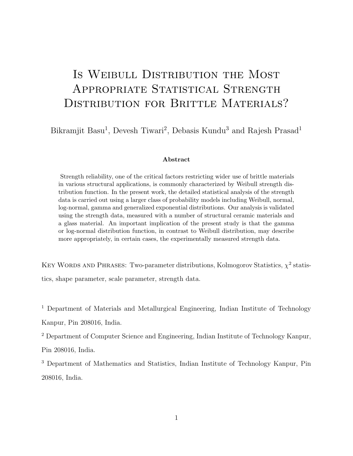# IS WEIBULL DISTRIBUTION THE MOST APPROPRIATE STATISTICAL STRENGTH DISTRIBUTION FOR BRITTLE MATERIALS?

Bikramjit Basu<sup>1</sup>, Devesh Tiwari<sup>2</sup>, Debasis Kundu<sup>3</sup> and Rajesh Prasad<sup>1</sup>

#### Abstract

Strength reliability, one of the critical factors restricting wider use of brittle materials in various structural applications, is commonly characterized by Weibull strength distribution function. In the present work, the detailed statistical analysis of the strength data is carried out using a larger class of probability models including Weibull, normal, log-normal, gamma and generalized exponential distributions. Our analysis is validated using the strength data, measured with a number of structural ceramic materials and a glass material. An important implication of the present study is that the gamma or log-normal distribution function, in contrast to Weibull distribution, may describe more appropriately, in certain cases, the experimentally measured strength data.

KEY WORDS AND PHRASES: Two-parameter distributions, Kolmogorov Statistics,  $\chi^2$  statistics, shape parameter, scale parameter, strength data.

<sup>1</sup> Department of Materials and Metallurgical Engineering, Indian Institute of Technology Kanpur, Pin 208016, India.

<sup>2</sup> Department of Computer Science and Engineering, Indian Institute of Technology Kanpur,

Pin 208016, India.

<sup>3</sup> Department of Mathematics and Statistics, Indian Institute of Technology Kanpur, Pin 208016, India.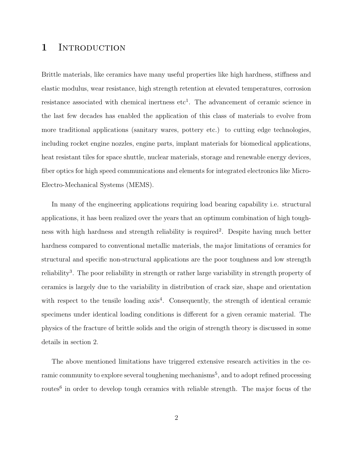### 1 INTRODUCTION

Brittle materials, like ceramics have many useful properties like high hardness, stiffness and elastic modulus, wear resistance, high strength retention at elevated temperatures, corrosion resistance associated with chemical inertness  $etc<sup>1</sup>$ . The advancement of ceramic science in the last few decades has enabled the application of this class of materials to evolve from more traditional applications (sanitary wares, pottery etc.) to cutting edge technologies, including rocket engine nozzles, engine parts, implant materials for biomedical applications, heat resistant tiles for space shuttle, nuclear materials, storage and renewable energy devices, fiber optics for high speed communications and elements for integrated electronics like Micro-Electro-Mechanical Systems (MEMS).

In many of the engineering applications requiring load bearing capability i.e. structural applications, it has been realized over the years that an optimum combination of high toughness with high hardness and strength reliability is required<sup>2</sup>. Despite having much better hardness compared to conventional metallic materials, the major limitations of ceramics for structural and specific non-structural applications are the poor toughness and low strength reliability<sup>3</sup>. The poor reliability in strength or rather large variability in strength property of ceramics is largely due to the variability in distribution of crack size, shape and orientation with respect to the tensile loading  $axis<sup>4</sup>$ . Consequently, the strength of identical ceramic specimens under identical loading conditions is different for a given ceramic material. The physics of the fracture of brittle solids and the origin of strength theory is discussed in some details in section 2.

The above mentioned limitations have triggered extensive research activities in the ceramic community to explore several toughening mechanisms<sup>5</sup>, and to adopt refined processing routes<sup>6</sup> in order to develop tough ceramics with reliable strength. The major focus of the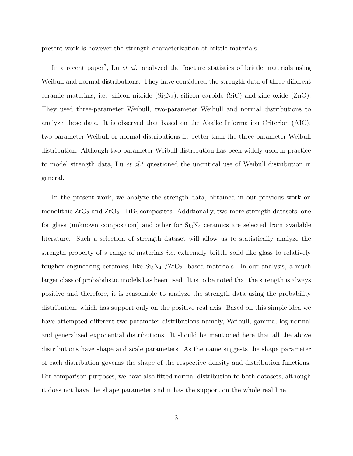present work is however the strength characterization of brittle materials.

In a recent paper<sup>7</sup>, Lu *et al.* analyzed the fracture statistics of brittle materials using Weibull and normal distributions. They have considered the strength data of three different ceramic materials, i.e. silicon nitride  $(Si<sub>3</sub>N<sub>4</sub>)$ , silicon carbide (SiC) and zinc oxide (ZnO). They used three-parameter Weibull, two-parameter Weibull and normal distributions to analyze these data. It is observed that based on the Akaike Information Criterion (AIC), two-parameter Weibull or normal distributions fit better than the three-parameter Weibull distribution. Although two-parameter Weibull distribution has been widely used in practice to model strength data, Lu  $et$   $al$ <sup>7</sup> questioned the uncritical use of Weibull distribution in general.

In the present work, we analyze the strength data, obtained in our previous work on monolithic  $ZrO_2$  and  $ZrO_2$ - TiB<sub>2</sub> composites. Additionally, two more strength datasets, one for glass (unknown composition) and other for  $Si<sub>3</sub>N<sub>4</sub>$  ceramics are selected from available literature. Such a selection of strength dataset will allow us to statistically analyze the strength property of a range of materials *i.e.* extremely brittle solid like glass to relatively tougher engineering ceramics, like  $Si_3N_4 /ZrO_2$ - based materials. In our analysis, a much larger class of probabilistic models has been used. It is to be noted that the strength is always positive and therefore, it is reasonable to analyze the strength data using the probability distribution, which has support only on the positive real axis. Based on this simple idea we have attempted different two-parameter distributions namely, Weibull, gamma, log-normal and generalized exponential distributions. It should be mentioned here that all the above distributions have shape and scale parameters. As the name suggests the shape parameter of each distribution governs the shape of the respective density and distribution functions. For comparison purposes, we have also fitted normal distribution to both datasets, although it does not have the shape parameter and it has the support on the whole real line.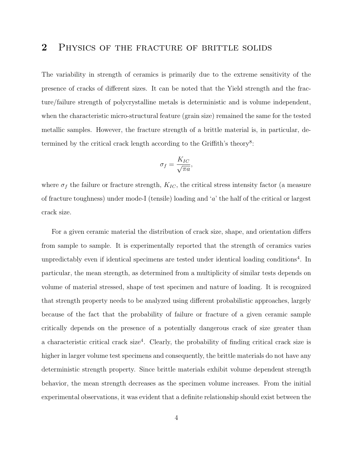#### 2 PHYSICS OF THE FRACTURE OF BRITTLE SOLIDS

The variability in strength of ceramics is primarily due to the extreme sensitivity of the presence of cracks of different sizes. It can be noted that the Yield strength and the fracture/failure strength of polycrystalline metals is deterministic and is volume independent, when the characteristic micro-structural feature (grain size) remained the same for the tested metallic samples. However, the fracture strength of a brittle material is, in particular, determined by the critical crack length according to the Griffith's theory<sup>8</sup>:

$$
\sigma_f = \frac{K_{IC}}{\sqrt{\pi a}},
$$

where  $\sigma_f$  the failure or fracture strength,  $K_{IC}$ , the critical stress intensity factor (a measure of fracture toughness) under mode-I (tensile) loading and 'a' the half of the critical or largest crack size.

For a given ceramic material the distribution of crack size, shape, and orientation differs from sample to sample. It is experimentally reported that the strength of ceramics varies unpredictably even if identical specimens are tested under identical loading conditions<sup>4</sup>. In particular, the mean strength, as determined from a multiplicity of similar tests depends on volume of material stressed, shape of test specimen and nature of loading. It is recognized that strength property needs to be analyzed using different probabilistic approaches, largely because of the fact that the probability of failure or fracture of a given ceramic sample critically depends on the presence of a potentially dangerous crack of size greater than a characteristic critical crack size<sup>4</sup>. Clearly, the probability of finding critical crack size is higher in larger volume test specimens and consequently, the brittle materials do not have any deterministic strength property. Since brittle materials exhibit volume dependent strength behavior, the mean strength decreases as the specimen volume increases. From the initial experimental observations, it was evident that a definite relationship should exist between the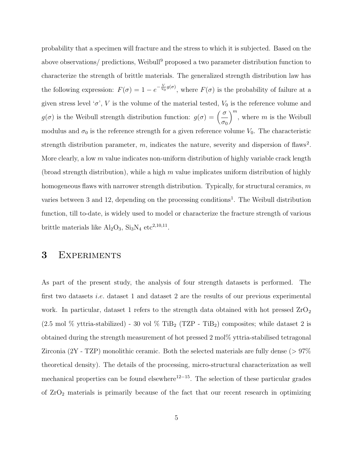probability that a specimen will fracture and the stress to which it is subjected. Based on the above observations/ predictions, Weibull<sup>9</sup> proposed a two parameter distribution function to characterize the strength of brittle materials. The generalized strength distribution law has the following expression:  $F(\sigma) = 1 - e^{-\frac{V}{V_0}g(\sigma)}$ , where  $F(\sigma)$  is the probability of failure at a given stress level ' $\sigma$ ', V is the volume of the material tested,  $V_0$  is the reference volume and  $g(\sigma)$  is the Weibull strength distribution function:  $g(\sigma) = \left(\frac{\sigma}{\sigma}\right)^{1/2}$  $\sigma_0$  $\Big)^{m}$ , where m is the Weibull modulus and  $\sigma_0$  is the reference strength for a given reference volume  $V_0$ . The characteristic strength distribution parameter,  $m$ , indicates the nature, severity and dispersion of flaws<sup>2</sup>. More clearly, a low  $m$  value indicates non-uniform distribution of highly variable crack length (broad strength distribution), while a high  $m$  value implicates uniform distribution of highly homogeneous flaws with narrower strength distribution. Typically, for structural ceramics, m varies between 3 and 12, depending on the processing conditions<sup>1</sup>. The Weibull distribution function, till to-date, is widely used to model or characterize the fracture strength of various brittle materials like  $\text{Al}_2\text{O}_3$ ,  $\text{Si}_3\text{N}_4$  etc<sup>2,10,11</sup>.

## 3 Experiments

As part of the present study, the analysis of four strength datasets is performed. The first two datasets *i.e.* dataset 1 and dataset 2 are the results of our previous experimental work. In particular, dataset 1 refers to the strength data obtained with hot pressed  $ZrO<sub>2</sub>$  $(2.5 \text{ mol } \% \text{ yttria-stabilized})$  - 30 vol  $\%$  TiB<sub>2</sub> (TZP - TiB<sub>2</sub>) composites; while dataset 2 is obtained during the strength measurement of hot pressed 2 mol% yttria-stabilised tetragonal Zirconia (2Y - TZP) monolithic ceramic. Both the selected materials are fully dense ( $> 97\%$ theoretical density). The details of the processing, micro-structural characterization as well mechanical properties can be found elsewhere<sup>12–15</sup>. The selection of these particular grades of  $ZrO<sub>2</sub>$  materials is primarily because of the fact that our recent research in optimizing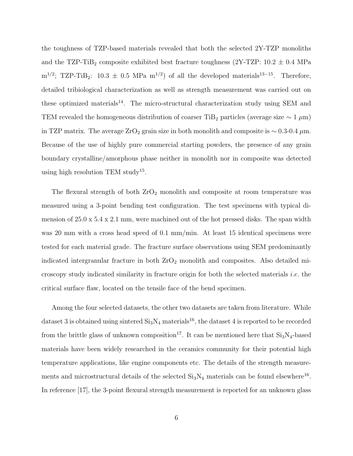the toughness of TZP-based materials revealed that both the selected 2Y-TZP monoliths and the TZP-TiB<sub>2</sub> composite exhibited best fracture toughness (2Y-TZP:  $10.2 \pm 0.4$  MPa  $m^{1/2}$ ; TZP-TiB<sub>2</sub>: 10.3  $\pm$  0.5 MPa  $m^{1/2}$ ) of all the developed materials<sup>13–15</sup>. Therefore, detailed tribiological characterization as well as strength measurement was carried out on these optimized materials<sup>14</sup>. The micro-structural characterization study using SEM and TEM revealed the homogeneous distribution of coarser TiB<sub>2</sub> particles (average size  $\sim 1 \mu$ m) in TZP matrix. The average ZrO<sub>2</sub> grain size in both monolith and composite is  $\sim 0.3$ -0.4  $\mu$ m. Because of the use of highly pure commercial starting powders, the presence of any grain boundary crystalline/amorphous phase neither in monolith nor in composite was detected using high resolution TEM study<sup>15</sup>.

The flexural strength of both  $ZrO_2$  monolith and composite at room temperature was measured using a 3-point bending test configuration. The test specimens with typical dimension of  $25.0 \times 5.4 \times 2.1$  mm, were machined out of the hot pressed disks. The span width was 20 mm with a cross head speed of 0.1 mm/min. At least 15 identical specimens were tested for each material grade. The fracture surface observations using SEM predominantly indicated intergranular fracture in both  $ZrO<sub>2</sub>$  monolith and composites. Also detailed microscopy study indicated similarity in fracture origin for both the selected materials i.e. the critical surface flaw, located on the tensile face of the bend specimen.

Among the four selected datasets, the other two datasets are taken from literature. While dataset 3 is obtained using sintered  $Si<sub>3</sub>N<sub>4</sub>$  materials<sup>16</sup>, the dataset 4 is reported to be recorded from the brittle glass of unknown composition<sup>17</sup>. It can be mentioned here that  $Si<sub>3</sub>N<sub>4</sub>$ -based materials have been widely researched in the ceramics community for their potential high temperature applications, like engine components etc. The details of the strength measurements and microstructural details of the selected  $Si<sub>3</sub>N<sub>4</sub>$  materials can be found elsewhere<sup>16</sup>. In reference [17], the 3-point flexural strength measurement is reported for an unknown glass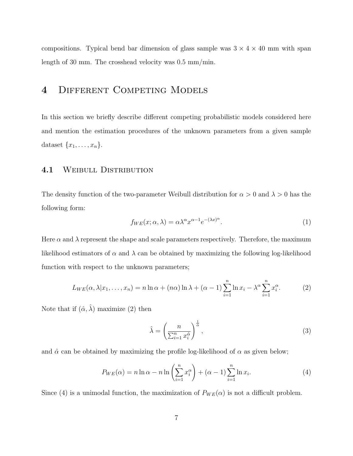compositions. Typical bend bar dimension of glass sample was  $3 \times 4 \times 40$  mm with span length of 30 mm. The crosshead velocity was 0.5 mm/min.

## 4 Different Competing Models

In this section we briefly describe different competing probabilistic models considered here and mention the estimation procedures of the unknown parameters from a given sample dataset  $\{x_1, \ldots, x_n\}.$ 

#### 4.1 WEIBULL DISTRIBUTION

The density function of the two-parameter Weibull distribution for  $\alpha > 0$  and  $\lambda > 0$  has the following form:

$$
f_{WE}(x; \alpha, \lambda) = \alpha \lambda^{\alpha} x^{\alpha - 1} e^{-(\lambda x)^{\alpha}}.
$$
\n(1)

Here  $\alpha$  and  $\lambda$  represent the shape and scale parameters respectively. Therefore, the maximum likelihood estimators of  $\alpha$  and  $\lambda$  can be obtained by maximizing the following log-likelihood function with respect to the unknown parameters;

$$
L_{WE}(\alpha, \lambda | x_1, \dots, x_n) = n \ln \alpha + (n\alpha) \ln \lambda + (\alpha - 1) \sum_{i=1}^n \ln x_i - \lambda^{\alpha} \sum_{i=1}^n x_i^{\alpha}.
$$
 (2)

Note that if  $(\hat{\alpha}, \hat{\lambda})$  maximize (2) then

$$
\hat{\lambda} = \left(\frac{n}{\sum_{i=1}^{n} x_i^{\hat{\alpha}}}\right)^{\frac{1}{\hat{\alpha}}},\tag{3}
$$

and  $\hat{\alpha}$  can be obtained by maximizing the profile log-likelihood of  $\alpha$  as given below;

$$
P_{WE}(\alpha) = n \ln \alpha - n \ln \left( \sum_{i=1}^{n} x_i^{\alpha} \right) + (\alpha - 1) \sum_{i=1}^{n} \ln x_i.
$$
 (4)

Since (4) is a unimodal function, the maximization of  $P_{WE}(\alpha)$  is not a difficult problem.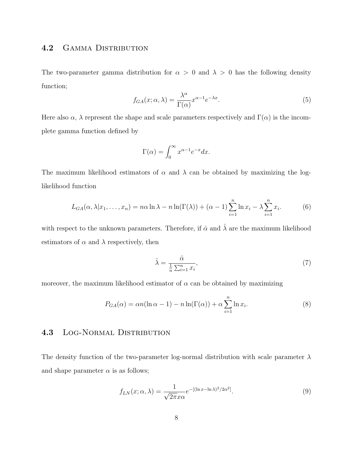#### 4.2 GAMMA DISTRIBUTION

The two-parameter gamma distribution for  $\alpha > 0$  and  $\lambda > 0$  has the following density function;

$$
f_{GA}(x; \alpha, \lambda) = \frac{\lambda^{\alpha}}{\Gamma(\alpha)} x^{\alpha - 1} e^{-\lambda x}.
$$
 (5)

Here also  $\alpha$ ,  $\lambda$  represent the shape and scale parameters respectively and  $\Gamma(\alpha)$  is the incomplete gamma function defined by

$$
\Gamma(\alpha) = \int_0^\infty x^{\alpha - 1} e^{-x} dx.
$$

The maximum likelihood estimators of  $\alpha$  and  $\lambda$  can be obtained by maximizing the loglikelihood function

$$
L_{GA}(\alpha, \lambda | x_1, \dots, x_n) = n\alpha \ln \lambda - n \ln(\Gamma(\lambda)) + (\alpha - 1) \sum_{i=1}^n \ln x_i - \lambda \sum_{i=1}^n x_i.
$$
 (6)

with respect to the unknown parameters. Therefore, if  $\hat{\alpha}$  and  $\hat{\lambda}$  are the maximum likelihood estimators of  $\alpha$  and  $\lambda$  respectively, then

$$
\hat{\lambda} = \frac{\hat{\alpha}}{\frac{1}{n} \sum_{i=1}^{n} x_i},\tag{7}
$$

moreover, the maximum likelihood estimator of  $\alpha$  can be obtained by maximizing

$$
P_{GA}(\alpha) = \alpha n (\ln \alpha - 1) - n \ln(\Gamma(\alpha)) + \alpha \sum_{i=1}^{n} \ln x_i.
$$
 (8)

#### 4.3 Log-Normal Distribution

The density function of the two-parameter log-normal distribution with scale parameter  $\lambda$ and shape parameter  $\alpha$  is as follows;

$$
f_{LN}(x; \alpha, \lambda) = \frac{1}{\sqrt{2\pi}x\alpha} e^{-[(\ln x - \ln \lambda)^2/2\alpha^2]}.
$$
 (9)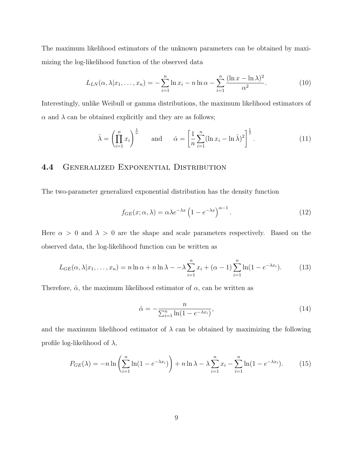The maximum likelihood estimators of the unknown parameters can be obtained by maximizing the log-likelihood function of the observed data

$$
L_{LN}(\alpha, \lambda | x_1, \dots, x_n) = -\sum_{i=1}^n \ln x_i - n \ln \alpha - \sum_{i=1}^n \frac{(\ln x - \ln \lambda)^2}{\alpha^2}.
$$
 (10)

Interestingly, unlike Weibull or gamma distributions, the maximum likelihood estimators of  $\alpha$  and  $\lambda$  can be obtained explicitly and they are as follows;

$$
\hat{\lambda} = \left(\prod_{i=1}^{n} x_i\right)^{\frac{1}{n}} \quad \text{and} \quad \hat{\alpha} = \left[\frac{1}{n} \sum_{i=1}^{n} (\ln x_i - \ln \hat{\lambda})^2\right]^{\frac{1}{2}}.
$$
\n(11)

#### 4.4 Generalized Exponential Distribution

The two-parameter generalized exponential distribution has the density function

$$
f_{GE}(x; \alpha, \lambda) = \alpha \lambda e^{-\lambda x} \left( 1 - e^{-\lambda x} \right)^{\alpha - 1}.
$$
 (12)

Here  $\alpha > 0$  and  $\lambda > 0$  are the shape and scale parameters respectively. Based on the observed data, the log-likelihood function can be written as

$$
L_{GE}(\alpha, \lambda | x_1, \dots, x_n) = n \ln \alpha + n \ln \lambda - \lambda \sum_{i=1}^n x_i + (\alpha - 1) \sum_{i=1}^n \ln(1 - e^{-\lambda x_i}). \tag{13}
$$

Therefore,  $\hat{\alpha}$ , the maximum likelihood estimator of  $\alpha$ , can be written as

$$
\hat{\alpha} = -\frac{n}{\sum_{i=1}^{n} \ln(1 - e^{-\lambda x_i})},\tag{14}
$$

and the maximum likelihood estimator of  $\lambda$  can be obtained by maximizing the following profile log-likelihood of  $\lambda$ ,

$$
P_{GE}(\lambda) = -n \ln \left( \sum_{i=1}^{n} \ln(1 - e^{-\lambda x_i}) \right) + n \ln \lambda - \lambda \sum_{i=1}^{n} x_i - \sum_{i=1}^{n} \ln(1 - e^{-\lambda x_i}). \tag{15}
$$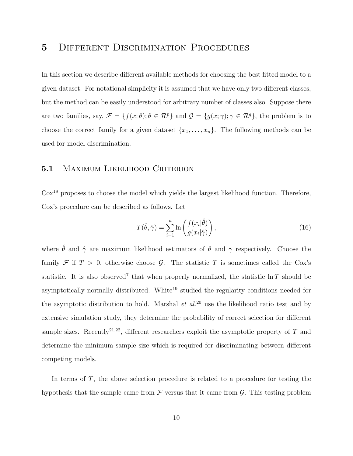## 5 DIFFERENT DISCRIMINATION PROCEDURES

In this section we describe different available methods for choosing the best fitted model to a given dataset. For notational simplicity it is assumed that we have only two different classes, but the method can be easily understood for arbitrary number of classes also. Suppose there are two families, say,  $\mathcal{F} = \{f(x; \theta) : \theta \in \mathcal{R}^p\}$  and  $\mathcal{G} = \{g(x; \gamma) : \gamma \in \mathcal{R}^q\}$ , the problem is to choose the correct family for a given dataset  $\{x_1, \ldots, x_n\}$ . The following methods can be used for model discrimination.

#### 5.1 MAXIMUM LIKELIHOOD CRITERION

Cox<sup>18</sup> proposes to choose the model which yields the largest likelihood function. Therefore, Cox's procedure can be described as follows. Let

$$
T(\hat{\theta}, \hat{\gamma}) = \sum_{i=1}^{n} \ln \left( \frac{f(x_i|\hat{\theta})}{g(x_i|\hat{\gamma})} \right),
$$
\n(16)

where  $\hat{\theta}$  and  $\hat{\gamma}$  are maximum likelihood estimators of  $\theta$  and  $\gamma$  respectively. Choose the family  $\mathcal F$  if  $T > 0$ , otherwise choose  $\mathcal G$ . The statistic T is sometimes called the Cox's statistic. It is also observed<sup>7</sup> that when properly normalized, the statistic  $\ln T$  should be asymptotically normally distributed. White<sup>19</sup> studied the regularity conditions needed for the asymptotic distribution to hold. Marshal et  $al^{20}$  use the likelihood ratio test and by extensive simulation study, they determine the probability of correct selection for different sample sizes. Recently<sup>21,22</sup>, different researchers exploit the asymptotic property of  $T$  and determine the minimum sample size which is required for discriminating between different competing models.

In terms of  $T$ , the above selection procedure is related to a procedure for testing the hypothesis that the sample came from  $\mathcal F$  versus that it came from  $\mathcal G$ . This testing problem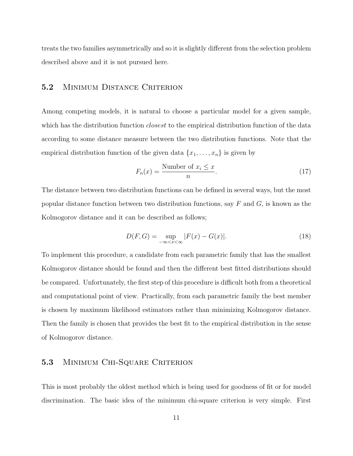treats the two families asymmetrically and so it is slightly different from the selection problem described above and it is not pursued here.

#### 5.2 Minimum Distance Criterion

Among competing models, it is natural to choose a particular model for a given sample, which has the distribution function *closest* to the empirical distribution function of the data according to some distance measure between the two distribution functions. Note that the empirical distribution function of the given data  $\{x_1, \ldots, x_n\}$  is given by

$$
F_n(x) = \frac{\text{Number of } x_i \le x}{n}.\tag{17}
$$

The distance between two distribution functions can be defined in several ways, but the most popular distance function between two distribution functions, say  $F$  and  $G$ , is known as the Kolmogorov distance and it can be described as follows;

$$
D(F,G) = \sup_{-\infty < x < \infty} |F(x) - G(x)|.\tag{18}
$$

To implement this procedure, a candidate from each parametric family that has the smallest Kolmogorov distance should be found and then the different best fitted distributions should be compared. Unfortunately, the first step of this procedure is difficult both from a theoretical and computational point of view. Practically, from each parametric family the best member is chosen by maximum likelihood estimators rather than minimizing Kolmogorov distance. Then the family is chosen that provides the best fit to the empirical distribution in the sense of Kolmogorov distance.

#### 5.3 MINIMUM CHI-SQUARE CRITERION

This is most probably the oldest method which is being used for goodness of fit or for model discrimination. The basic idea of the minimum chi-square criterion is very simple. First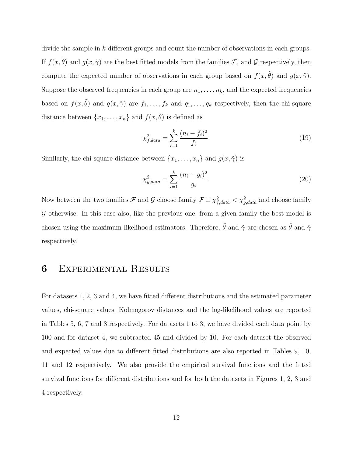divide the sample in k different groups and count the number of observations in each groups. If  $f(x, \tilde{\theta})$  and  $g(x, \tilde{\gamma})$  are the best fitted models from the families  $\mathcal{F}$ , and  $\mathcal{G}$  respectively, then compute the expected number of observations in each group based on  $f(x, \tilde{\theta})$  and  $g(x, \tilde{\gamma})$ . Suppose the observed frequencies in each group are  $n_1, \ldots, n_k$ , and the expected frequencies based on  $f(x, \tilde{\theta})$  and  $g(x, \tilde{\gamma})$  are  $f_1, \ldots, f_k$  and  $g_1, \ldots, g_k$  respectively, then the chi-square distance between  $\{x_1, \ldots, x_n\}$  and  $f(x, \tilde{\theta})$  is defined as

$$
\chi_{f,data}^2 = \sum_{i=1}^k \frac{(n_i - f_i)^2}{f_i}.
$$
\n(19)

Similarly, the chi-square distance between  $\{x_1, \ldots, x_n\}$  and  $g(x, \tilde{\gamma})$  is

$$
\chi_{g,data}^2 = \sum_{i=1}^k \frac{(n_i - g_i)^2}{g_i}.
$$
\n(20)

Now between the two families  $\mathcal F$  and  $\mathcal G$  choose family  $\mathcal F$  if  $\chi^2_{f,data} < \chi^2_{g,data}$  and choose family  $G$  otherwise. In this case also, like the previous one, from a given family the best model is chosen using the maximum likelihood estimators. Therefore,  $\tilde{\theta}$  and  $\tilde{\gamma}$  are chosen as  $\hat{\theta}$  and  $\hat{\gamma}$ respectively.

## 6 Experimental Results

For datasets 1, 2, 3 and 4, we have fitted different distributions and the estimated parameter values, chi-square values, Kolmogorov distances and the log-likelihood values are reported in Tables 5, 6, 7 and 8 respectively. For datasets 1 to 3, we have divided each data point by 100 and for dataset 4, we subtracted 45 and divided by 10. For each dataset the observed and expected values due to different fitted distributions are also reported in Tables 9, 10, 11 and 12 respectively. We also provide the empirical survival functions and the fitted survival functions for different distributions and for both the datasets in Figures 1, 2, 3 and 4 respectively.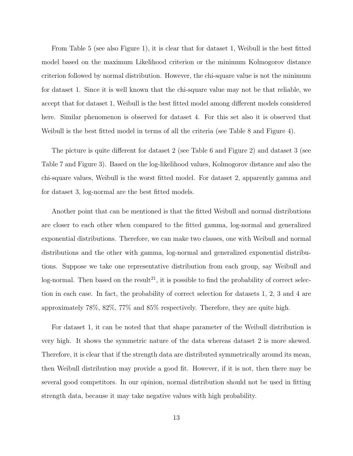From Table 5 (see also Figure 1), it is clear that for dataset 1, Weibull is the best fitted model based on the maximum Likelihood criterion or the minimum Kolmogorov distance criterion followed by normal distribution. However, the chi-square value is not the minimum for dataset 1. Since it is well known that the chi-square value may not be that reliable, we accept that for dataset 1, Weibull is the best fitted model among different models considered here. Similar phenomenon is observed for dataset 4. For this set also it is observed that Weibull is the best fitted model in terms of all the criteria (see Table 8 and Figure 4).

The picture is quite different for dataset 2 (see Table 6 and Figure 2) and dataset 3 (see Table 7 and Figure 3). Based on the log-likelihood values, Kolmogorov distance and also the chi-square values, Weibull is the worst fitted model. For dataset 2, apparently gamma and for dataset 3, log-normal are the best fitted models.

Another point that can be mentioned is that the fitted Weibull and normal distributions are closer to each other when compared to the fitted gamma, log-normal and generalized exponential distributions. Therefore, we can make two classes, one with Weibull and normal distributions and the other with gamma, log-normal and generalized exponential distributions. Suppose we take one representative distribution from each group, say Weibull and log-normal. Then based on the result<sup>21</sup>, it is possible to find the probability of correct selection in each case. In fact, the probability of correct selection for datasets 1, 2, 3 and 4 are approximately 78%, 82%, 77% and 85% respectively. Therefore, they are quite high.

For dataset 1, it can be noted that that shape parameter of the Weibull distribution is very high. It shows the symmetric nature of the data whereas dataset 2 is more skewed. Therefore, it is clear that if the strength data are distributed symmetrically around its mean, then Weibull distribution may provide a good fit. However, if it is not, then there may be several good competitors. In our opinion, normal distribution should not be used in fitting strength data, because it may take negative values with high probability.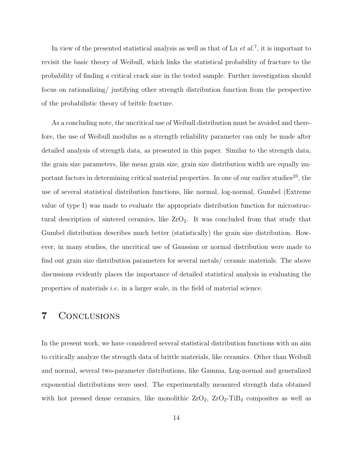In view of the presented statistical analysis as well as that of Lu  $et al.^7$ , it is important to revisit the basic theory of Weibull, which links the statistical probability of fracture to the probability of finding a critical crack size in the tested sample. Further investigation should focus on rationalizing/ justifying other strength distribution function from the perspective of the probabilistic theory of brittle fracture.

As a concluding note, the uncritical use of Weibull distribution must be avoided and therefore, the use of Weibull modulus as a strength reliability parameter can only be made after detailed analysis of strength data, as presented in this paper. Similar to the strength data, the grain size parameters, like mean grain size, grain size distribution width are equally important factors in determining critical material properties. In one of our earlier studies<sup>23</sup>, the use of several statistical distribution functions, like normal, log-normal, Gumbel (Extreme value of type I) was made to evaluate the appropriate distribution function for microstructural description of sintered ceramics, like  $ZrO_2$ . It was concluded from that study that Gumbel distribution describes much better (statistically) the grain size distribution. However, in many studies, the uncritical use of Gaussian or normal distribution were made to find out grain size distribution parameters for several metals/ ceramic materials. The above discussions evidently places the importance of detailed statistical analysis in evaluating the properties of materials *i.e.* in a larger scale, in the field of material science.

## 7 Conclusions

In the present work, we have considered several statistical distribution functions with an aim to critically analyze the strength data of brittle materials, like ceramics. Other than Weibull and normal, several two-parameter distributions, like Gamma, Log-normal and generalized exponential distributions were used. The experimentally measured strength data obtained with hot pressed dense ceramics, like monolithic  $ZrO_2$ ,  $ZrO_2$ -TiB<sub>2</sub> composites as well as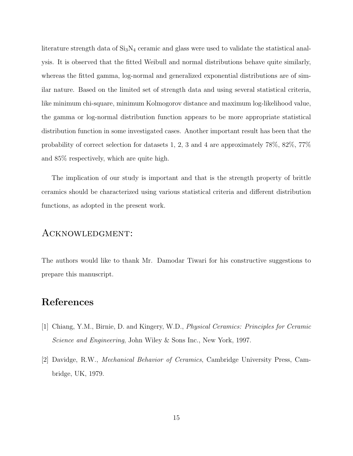literature strength data of  $Si<sub>3</sub>N<sub>4</sub>$  ceramic and glass were used to validate the statistical analysis. It is observed that the fitted Weibull and normal distributions behave quite similarly, whereas the fitted gamma, log-normal and generalized exponential distributions are of similar nature. Based on the limited set of strength data and using several statistical criteria, like minimum chi-square, minimum Kolmogorov distance and maximum log-likelihood value, the gamma or log-normal distribution function appears to be more appropriate statistical distribution function in some investigated cases. Another important result has been that the probability of correct selection for datasets 1, 2, 3 and 4 are approximately 78%, 82%, 77% and 85% respectively, which are quite high.

The implication of our study is important and that is the strength property of brittle ceramics should be characterized using various statistical criteria and different distribution functions, as adopted in the present work.

## Acknowledgment:

The authors would like to thank Mr. Damodar Tiwari for his constructive suggestions to prepare this manuscript.

## References

- [1] Chiang, Y.M., Birnie, D. and Kingery, W.D., Physical Ceramics: Principles for Ceramic Science and Engineering, John Wiley & Sons Inc., New York, 1997.
- [2] Davidge, R.W., Mechanical Behavior of Ceramics, Cambridge University Press, Cambridge, UK, 1979.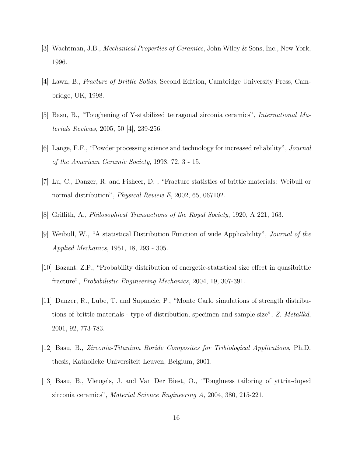- [3] Wachtman, J.B., Mechanical Properties of Ceramics, John Wiley & Sons, Inc., New York, 1996.
- [4] Lawn, B., Fracture of Brittle Solids, Second Edition, Cambridge University Press, Cambridge, UK, 1998.
- [5] Basu, B., "Toughening of Y-stabilized tetragonal zirconia ceramics", International Materials Reviews, 2005, 50 [4], 239-256.
- [6] Lange, F.F., "Powder processing science and technology for increased reliability", Journal of the American Ceramic Society, 1998, 72, 3 - 15.
- [7] Lu, C., Danzer, R. and Fishcer, D. , "Fracture statistics of brittle materials: Weibull or normal distribution", *Physical Review E*, 2002, 65, 067102.
- [8] Griffith, A., Philosophical Transactions of the Royal Society, 1920, A 221, 163.
- [9] Weibull, W., "A statistical Distribution Function of wide Applicability", Journal of the Applied Mechanics, 1951, 18, 293 - 305.
- [10] Bazant, Z.P., "Probability distribution of energetic-statistical size effect in quasibrittle fracture", Probabilistic Engineering Mechanics, 2004, 19, 307-391.
- [11] Danzer, R., Lube, T. and Supancic, P., "Monte Carlo simulations of strength distributions of brittle materials - type of distribution, specimen and sample size", Z. Metallkd, 2001, 92, 773-783.
- [12] Basu, B., Zirconia-Titanium Boride Composites for Tribiological Applications, Ph.D. thesis, Katholieke Universiteit Leuven, Belgium, 2001.
- [13] Basu, B., Vleugels, J. and Van Der Biest, O., "Toughness tailoring of yttria-doped zirconia ceramics", Material Science Engineering A, 2004, 380, 215-221.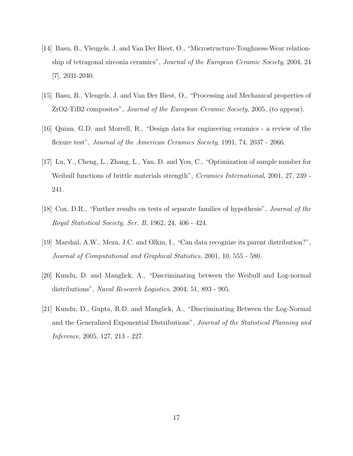- [14] Basu, B., Vleugels, J. and Van Der Biest, O., "Microstructure-Toughness-Wear relationship of tetragonal zirconia ceramics", Journal of the European Ceramic Society, 2004, 24 [7], 2031-2040.
- [15] Basu, B., Vleugels, J. and Van Der Biest, O., "Processing and Mechanical properties of ZrO2-TiB2 composites", Journal of the European Ceramic Society, 2005, (to appear).
- [16] Quinn, G.D. and Morrell, R., "Design data for engineering ceramics a review of the flexure test", Journal of the American Ceramics Society, 1991, 74, 2037 - 2066.
- [17] Lu, Y., Cheng, L., Zhang, L., Yan, D. and You, C., "Optimization of sample number for Weibull functions of brittle materials strength", Ceramics International, 2001, 27, 239 - 241.
- [18] Cox, D.R., "Further results on tests of separate families of hypothesis", Journal of the Royal Statistical Society, Ser. B, 1962, 24, 406 - 424.
- [19] Marshal, A.W., Meza, J.C. and Olkin, I., "Can data recognize its parent distribution?", Journal of Computational and Graphical Statistics, 2001, 10, 555 - 580.
- [20] Kundu, D. and Manglick, A., "Discriminating between the Weibull and Log-normal distributions", Naval Research Logistics, 2004, 51, 893 - 905.
- [21] Kundu, D., Gupta, R.D. and Manglick, A., "Discriminating Between the Log-Normal and the Generalized Exponential Distributions", Journal of the Statistical Planning and Inference, 2005, 127, 213 - 227.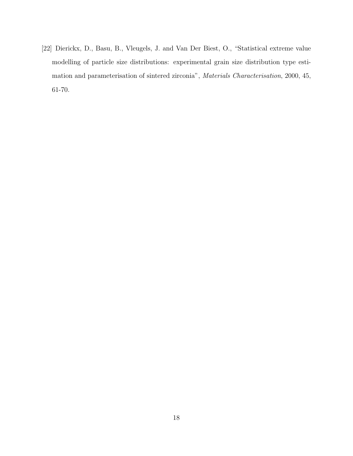[22] Dierickx, D., Basu, B., Vleugels, J. and Van Der Biest, O., "Statistical extreme value modelling of particle size distributions: experimental grain size distribution type estimation and parameterisation of sintered zirconia", Materials Characterisation, 2000, 45, 61-70.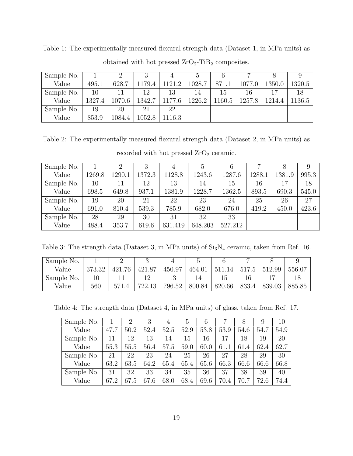| Sample No. |        |        |        |        |        |        |        |        |        |
|------------|--------|--------|--------|--------|--------|--------|--------|--------|--------|
| Value      | 495.1  | 628.7  | 1179.4 | 1121.2 | 1028.7 | 871.1  | 1077.0 | 1350.0 | 1320.5 |
| Sample No. | 10     |        | 12     | 13     | 14     | 15     | ۱6     |        | 18     |
| Value      | 1327.4 | 1070.6 | 1342.7 | 1177.6 | 1226.2 | 1160.5 | 1257.8 | 1214.4 | 1136.5 |
| Sample No. | 19     | 20     | 21     | 22     |        |        |        |        |        |
| Value      | 853.9  | 1084.4 | 1052.8 | 1116.3 |        |        |        |        |        |

Table 1: The experimentally measured flexural strength data (Dataset 1, in MPa units) as obtained with hot pressed  $ZrO_2$ -TiB<sub>2</sub> composites.

Table 2: The experimentally measured flexural strength data (Dataset 2, in MPa units) as

| Sample No. |        |        |        |         |         |         |        |        |       |
|------------|--------|--------|--------|---------|---------|---------|--------|--------|-------|
| Value      | 1269.8 | 1290.1 | 1372.3 | 1128.8  | 1243.6  | 1287.6  | 1288.1 | 1381.9 | 995.3 |
| Sample No. | 10     | 11     | 12     | 13      | 14      | 15      | 16     | 17     | 18    |
| Value      | 698.5  | 649.8  | 937.1  | 1381.9  | 1228.7  | 1362.5  | 893.5  | 690.3  | 545.0 |
| Sample No. | 19     | 20     | 21     | 22      | 23      | 24      | 25     | 26     | 27    |
| Value      | 691.0  | 810.4  | 539.3  | 785.9   | 682.0   | 676.0   | 419.2  | 450.0  | 423.6 |
| Sample No. | 28     | 29     | 30     | 31      | 32      | 33      |        |        |       |
| Value      | 488.4  | 353.7  | 619.6  | 631.419 | 648.203 | 527.212 |        |        |       |

recorded with hot pressed  $ZrO<sub>2</sub>$  ceramic.

Table 3: The strength data (Dataset 3, in MPa units) of  $\mathrm{Si}_3\mathrm{N}_4$  ceramic, taken from Ref. 16.

| Sample No. |        |            |        |        |        |           |       |        |        |
|------------|--------|------------|--------|--------|--------|-----------|-------|--------|--------|
| Value      | 373.32 | .76<br>421 | 421.87 | 450.97 | 464.01 | 511<br>14 | 517.5 | 512.99 | 556.07 |
| Sample No. |        |            |        |        |        |           |       |        |        |
| Value      | 560    | 571        | 722.13 | 796.52 | 800.84 | 820.66    | 833.4 | 839.03 | 885.85 |

Table 4: The strength data (Dataset 4, in MPa units) of glass, taken from Ref. 17.

| Sample No. |      | 2    | 3    | 4    | $\ddot{c}$ | b    |      |          | 9    | 10   |
|------------|------|------|------|------|------------|------|------|----------|------|------|
| Value      | 47.7 | 50.2 | 52.4 | 52.5 | 52.9       | 53.8 | 53.9 | 54.6     | 54.7 | 54.9 |
| Sample No. | 11   | 12   | 13   | 14   | 15         | 16   | 17   | 18       | 19   | 20   |
| Value      | 55.3 | 55.5 | 56.4 | 57.5 | 59.0       | 60.0 | 61   | 61<br>.4 | 62.4 | 62.7 |
| Sample No. | 21   | 22   | 23   | 24   | 25         | 26   | 27   | 28       | 29   | 30   |
| Value      | 63.2 | 63.5 | 64.2 | 65.4 | 65.4       | 65.6 | 66.3 | 66.6     | 66.6 | 66.8 |
| Sample No. | 31   | 32   | 33   | 34   | 35         | 36   | 37   | 38       | 39   | 40   |
| Value      | 67.2 | 67.5 | 67.6 | 68.0 | 68.4       | 69.6 | 70.4 | 70.7     | 72.6 | 74.4 |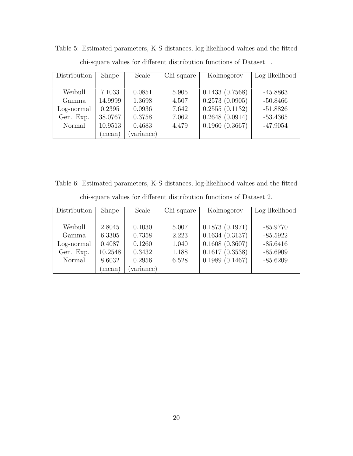| Distribution | <b>Shape</b> | Scale      | Chi-square | Kolmogorov     | Log-likelihood |
|--------------|--------------|------------|------------|----------------|----------------|
|              |              |            |            |                |                |
| Weibull      | 7.1033       | 0.0851     | 5.905      | 0.1433(0.7568) | $-45.8863$     |
| Gamma        | 14.9999      | 1.3698     | 4.507      | 0.2573(0.0905) | $-50.8466$     |
| Log-normal   | 0.2395       | 0.0936     | 7.642      | 0.2555(0.1132) | $-51.8826$     |
| Gen. Exp.    | 38.0767      | 0.3758     | 7.062      | 0.2648(0.0914) | $-53.4365$     |
| Normal       | 10.9513      | 0.4683     | 4.479      | 0.1960(0.3667) | $-47.9054$     |
|              | (mean)       | (variance) |            |                |                |

Table 5: Estimated parameters, K-S distances, log-likelihood values and the fitted chi-square values for different distribution functions of Dataset 1.

Table 6: Estimated parameters, K-S distances, log-likelihood values and the fitted chi-square values for different distribution functions of Dataset 2.

| Distribution | <b>Shape</b> | Scale     | Chi-square | Kolmogorov     | Log-likelihood |
|--------------|--------------|-----------|------------|----------------|----------------|
|              |              |           |            |                |                |
| Weibull      | 2.8045       | 0.1030    | 5.007      | 0.1873(0.1971) | $-85.9770$     |
| Gamma        | 6.3305       | 0.7358    | 2.223      | 0.1634(0.3137) | $-85.5922$     |
| Log-normal   | 0.4087       | 0.1260    | 1.040      | 0.1608(0.3607) | $-85.6416$     |
| Gen. Exp.    | 10.2548      | 0.3432    | 1.188      | 0.1617(0.3538) | $-85.6909$     |
| Normal       | 8.6032       | 0.2956    | 6.528      | 0.1989(0.1467) | $-85.6209$     |
|              | (mean)       | variance) |            |                |                |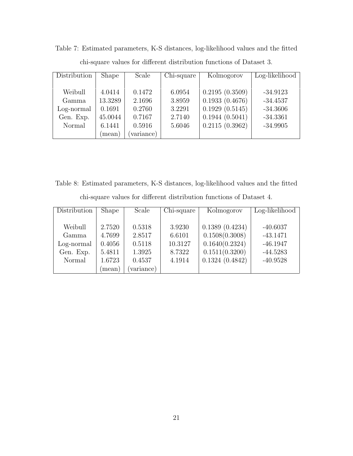| Distribution | <b>Shape</b> | Scale      | Chi-square | Kolmogorov     | Log-likelihood |
|--------------|--------------|------------|------------|----------------|----------------|
|              |              |            |            |                |                |
| Weibull      | 4.0414       | 0.1472     | 6.0954     | 0.2195(0.3509) | $-34.9123$     |
| Gamma        | 13.3289      | 2.1696     | 3.8959     | 0.1933(0.4676) | $-34.4537$     |
| Log-normal   | 0.1691       | 0.2760     | 3.2291     | 0.1929(0.5145) | $-34.3606$     |
| Gen. Exp.    | 45.0044      | 0.7167     | 2.7140     | 0.1944(0.5041) | $-34.3361$     |
| Normal       | 6.1441       | 0.5916     | 5.6046     | 0.2115(0.3962) | $-34.9905$     |
|              | (mean)       | (variance) |            |                |                |

Table 7: Estimated parameters, K-S distances, log-likelihood values and the fitted chi-square values for different distribution functions of Dataset 3.

Table 8: Estimated parameters, K-S distances, log-likelihood values and the fitted chi-square values for different distribution functions of Dataset 4.

| Distribution | Shape  | Scale     | Chi-square | Kolmogorov     | Log-likelihood |
|--------------|--------|-----------|------------|----------------|----------------|
|              |        |           |            |                |                |
| Weibull      | 2.7520 | 0.5318    | 3.9230     | 0.1389(0.4234) | $-40.6037$     |
| Gamma        | 4.7699 | 2.8517    | 6.6101     | 0.1508(0.3008) | $-43.1471$     |
| Log-normal   | 0.4056 | 0.5118    | 10.3127    | 0.1640(0.2324) | $-46.1947$     |
| Gen. Exp.    | 5.4811 | 1.3925    | 8.7322     | 0.1511(0.3200) | $-44.5283$     |
| Normal       | 1.6723 | 0.4537    | 4.1914     | 0.1324(0.4842) | $-40.9528$     |
|              | mean)  | variance) |            |                |                |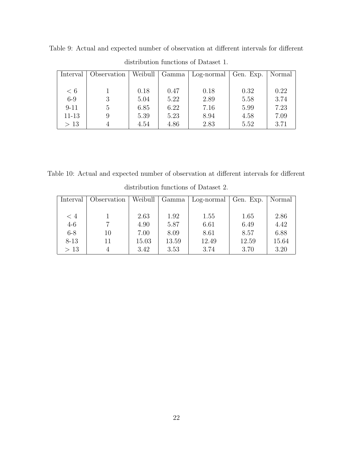| Interval  | Observation |      | Weibull   Gamma | Log-normal Gen. Exp. |      | Normal |
|-----------|-------------|------|-----------------|----------------------|------|--------|
|           |             |      |                 |                      |      |        |
| < 6       |             | 0.18 | 0.47            | 0.18                 | 0.32 | 0.22   |
| $6-9$     | 3           | 5.04 | 5.22            | 2.89                 | 5.58 | 3.74   |
| $9 - 11$  | 5           | 6.85 | 6.22            | 7.16                 | 5.99 | 7.23   |
| $11 - 13$ | 9           | 5.39 | 5.23            | 8.94                 | 4.58 | 7.09   |
| >13       |             | 4.54 | 4.86            | 2.83                 | 5.52 | 3.71   |

Table 9: Actual and expected number of observation at different intervals for different distribution functions of Dataset 1.

Table 10: Actual and expected number of observation at different intervals for different

| Interval | Observation | Weibull | Gamma | Log-normal | Gen. Exp. | Normal |
|----------|-------------|---------|-------|------------|-----------|--------|
|          |             |         |       |            |           |        |
| $\leq 4$ |             | 2.63    | 1.92  | 1.55       | 1.65      | 2.86   |
| $4-6$    |             | 4.90    | 5.87  | 6.61       | 6.49      | 4.42   |
| $6 - 8$  | 10          | 7.00    | 8.09  | 8.61       | 8.57      | 6.88   |
| $8 - 13$ | 11          | 15.03   | 13.59 | 12.49      | 12.59     | 15.64  |
| >13      |             | 3.42    | 3.53  | 3.74       | 3.70      | 3.20   |

distribution functions of Dataset 2.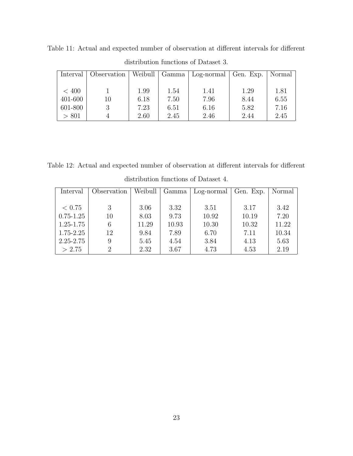| Interval | Observation |      | Weibull   Gamma | Log-normal Gen. Exp. |      | Normal |
|----------|-------------|------|-----------------|----------------------|------|--------|
|          |             |      |                 |                      |      |        |
| < 400    |             | 1.99 | 1.54            | 1.41                 | 1.29 | 1.81   |
| 401-600  | 10          | 6.18 | 7.50            | 7.96                 | 8.44 | 6.55   |
| 601-800  |             | 7.23 | 6.51            | 6.16                 | 5.82 | 7.16   |
| > 801    |             | 2.60 | 2.45            | 2.46                 | 2.44 | 2.45   |

Table 11: Actual and expected number of observation at different intervals for different distribution functions of Dataset 3.

Table 12: Actual and expected number of observation at different intervals for different distribution functions of Dataset 4.

| Interval      | Observation                 | Weibull | Gamma | Log-normal | Gen. Exp. | Normal |
|---------------|-----------------------------|---------|-------|------------|-----------|--------|
|               |                             |         |       |            |           |        |
| < 0.75        | 3                           | 3.06    | 3.32  | 3.51       | 3.17      | 3.42   |
| $0.75 - 1.25$ | 10                          | 8.03    | 9.73  | 10.92      | 10.19     | 7.20   |
| $1.25 - 1.75$ | 6                           | 11.29   | 10.93 | 10.30      | 10.32     | 11.22  |
| $1.75 - 2.25$ | 12                          | 9.84    | 7.89  | 6.70       | 7.11      | 10.34  |
| $2.25 - 2.75$ | 9                           | 5.45    | 4.54  | 3.84       | 4.13      | 5.63   |
| > 2.75        | $\mathcal{D}_{\mathcal{L}}$ | 2.32    | 3.67  | 4.73       | 4.53      | 2.19   |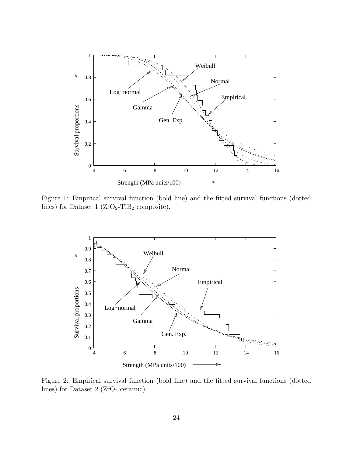

Figure 1: Empirical survival function (bold line) and the fitted survival functions (dotted lines) for Dataset 1 ( $ZrO<sub>2</sub>-TiB<sub>2</sub>$  composite).



Figure 2: Empirical survival function (bold line) and the fitted survival functions (dotted lines) for Dataset 2 (ZrO<sub>2</sub> ceramic).